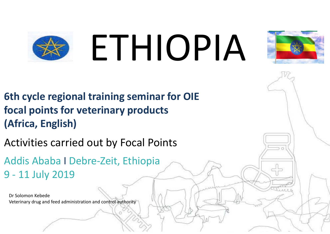# ETHIOPIA



**6th cycle regional training seminar for OIE focal points for veterinary products (Africa, English)**

Activities carried out by Focal Points

Addis Ababa I Debre-Zeit, Ethiopia 9 - 11 July 2019

Dr Solomon Kebede Veterinary drug and feed administration and control authority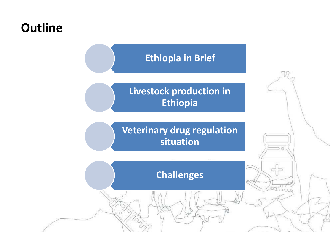## **Outline**

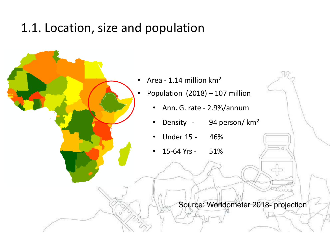## 1.1. Location, size and population



 $\bullet$ Population (2018) – 107 million

- Ann. G. rate 2.9%/annum
- Density 94 person/ km<sup>2</sup>
- •Under 15 - 46%
- •15-64 Yrs - 51%

Source: Worldometer 2018- projection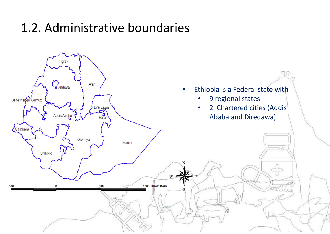## 1.2. Administrative boundaries

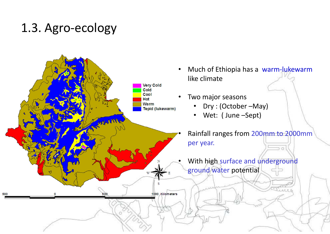## 1.3. Agro-ecology

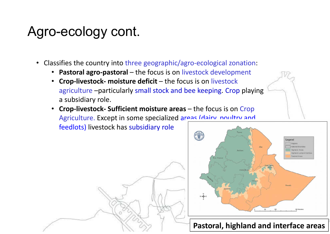## Agro-ecology cont.

- Classifies the country into three geographic/agro-ecological zonation:
	- **Pastoral agro-pastoral** the focus is on livestock development
	- **Crop-livestock- moisture deficit**  the focus is on livestock agriculture –particularly small stock and bee keeping. Crop playing a subsidiary role.
	- **Crop-livestock- Sufficient moisture areas**  the focus is on Crop Agriculture. Except in some specialized areas (dairy, noultry and feedlots) livestock has subsidiary role



### **Pastoral, highland and interface areas**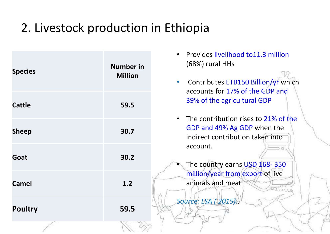## 2. Livestock production in Ethiopia

| <b>Species</b> | <b>Number in</b><br><b>Million</b> | • Provides livelihood to11.3 million<br>$(68%)$ rural HHs<br>Contributes ETB150 Billion/yr which<br>$\bullet$<br>accounts for 17% of the GDP and |
|----------------|------------------------------------|--------------------------------------------------------------------------------------------------------------------------------------------------|
| <b>Cattle</b>  | 59.5                               | 39% of the agricultural GDP                                                                                                                      |
| <b>Sheep</b>   | 30.7                               | • The contribution rises to 21% of the<br>GDP and 49% Ag GDP when the<br>indirect contribution taken into                                        |
| Goat           | 30.2                               | account.<br>The country earns USD 168-350                                                                                                        |
| <b>Camel</b>   | 1.2                                | million/year from export of live<br>animals and meat                                                                                             |
| <b>Poultry</b> | 59.5                               | Source: LSA (2015).                                                                                                                              |
|                |                                    |                                                                                                                                                  |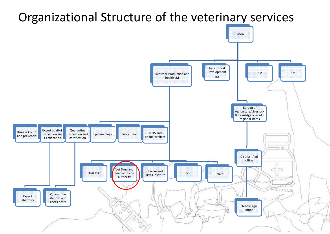#### Organizational Structure of the veterinary services MoAAgricultural Development SMSMLivestock Production and health sMsMBureau of Agriculture/Livestock Bureau/Agencies of 9 regional states Quarantine Disease Control Export abattoi Quarantine<br>and prevention expection and certification exportification LLITS and Inspection and Public Healthanimal welfare certification $\circ$ District Agri office Vet Drug and Tsetse and Feed adm con Tryps Institute NVI NAIC NAHDIC authority n new ann N Quarantine Export stations and abattoirs check posts Kebele Agri office $\circ$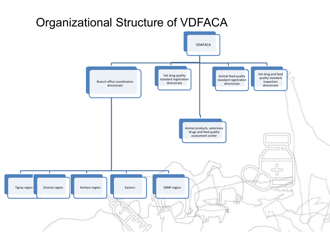## Organizational Structure of VDFACA

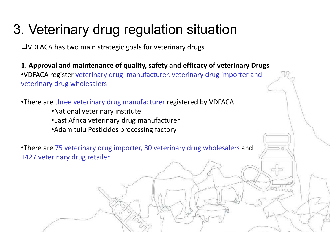# 3. Veterinary drug regulation situation

VDFACA has two main strategic goals for veterinary drugs

**1. Approval and maintenance of quality, safety and efficacy of veterinary Drugs** •VDFACA register veterinary drug manufacturer, veterinary drug importer and veterinary drug wholesalers

•There are three veterinary drug manufacturer registered by VDFACA

- •National veterinary institute
- •East Africa veterinary drug manufacturer
- •Adamitulu Pesticides processing factory

•There are 75 veterinary drug importer, 80 veterinary drug wholesalers and 1427 veterinary drug retailer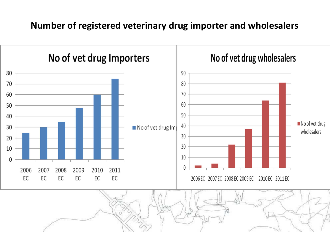## **Number of registered veterinary drug importer and wholesalers**

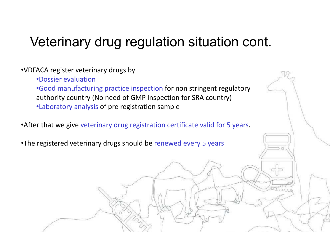#### •VDFACA register veterinary drugs by

- •Dossier evaluation
- •Good manufacturing practice inspection for non stringent regulatory authority country (No need of GMP inspection for SRA country) •Laboratory analysis of pre registration sample
- •After that we give veterinary drug registration certificate valid for 5 years.
- •The registered veterinary drugs should be renewed every 5 years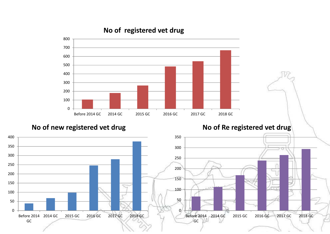#### **No of registered vet drug**



**No of new registered vet drug** 

**No of Re registered vet drug** 

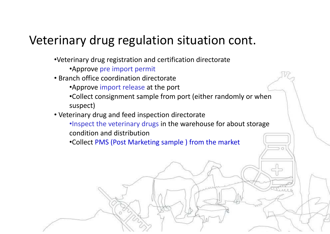- •Veterinary drug registration and certification directorate
	- •Approve pre import permit
- Branch office coordination directorate
	- •Approve import release at the port
	- •Collect consignment sample from port (either randomly or when suspect)
- Veterinary drug and feed inspection directorate
	- •Inspect the veterinary drugs in the warehouse for about storage condition and distribution
	- •Collect PMS (Post Marketing sample ) from the market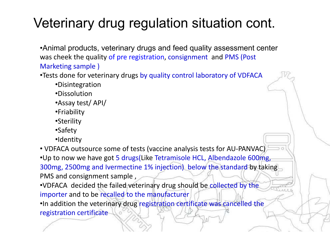•Animal products, veterinary drugs and feed quality assessment center was cheek the quality of pre registration, consignment and PMS (Post Marketing sample )

•Tests done for veterinary drugs by quality control laboratory of VDFACA

- •Disintegration
- •Dissolution
- •Assay test/ API/
- •Friability
- •Sterility
- •Safety
- •Identity

• VDFACA outsource some of tests (vaccine analysis tests for AU-PANVAC) •Up to now we have got 5 drugs(Like Tetramisole HCL, Albendazole 600mg, 300mg, 2500mg and Ivermectine 1% injection) below the standard by taking PMS and consignment sample ,

•VDFACA decided the failed veterinary drug should be collected by the importer and to be recalled to the manufacturer

•In addition the veterinary drug registration certificate was cancelled the registration certificate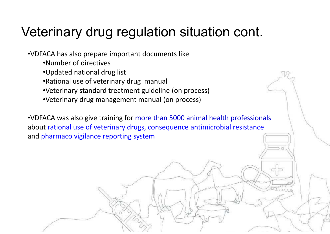•VDFACA has also prepare important documents like

- •Number of directives
- •Updated national drug list
- •Rational use of veterinary drug manual
- •Veterinary standard treatment guideline (on process)
- •Veterinary drug management manual (on process)

•VDFACA was also give training for more than 5000 animal health professionals about rational use of veterinary drugs, consequence antimicrobial resistance and pharmaco vigilance reporting system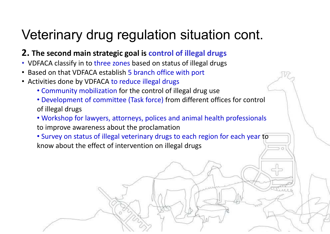## **2. The second main strategic goal is control of illegal drugs**

- VDFACA classify in to three zones based on status of illegal drugs
- Based on that VDFACA establish 5 branch office with port
- Activities done by VDFACA to reduce illegal drugs
	- Community mobilization for the control of illegal drug use
	- Development of committee (Task force) from different offices for control of illegal drugs
	- Workshop for lawyers, attorneys, polices and animal health professionals to improve awareness about the proclamation
	- Survey on status of illegal veterinary drugs to each region for each year to know about the effect of intervention on illegal drugs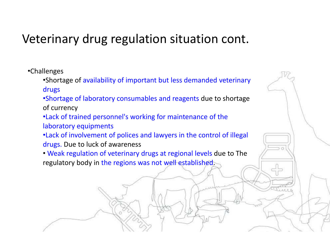•Challenges

•Shortage of availability of important but less demanded veterinary drugs

•Shortage of laboratory consumables and reagents due to shortage of currency

•Lack of trained personnel's working for maintenance of the laboratory equipments

•Lack of involvement of polices and lawyers in the control of illegal drugs. Due to luck of awareness

• Weak regulation of veterinary drugs at regional levels due to The regulatory body in the regions was not well established.